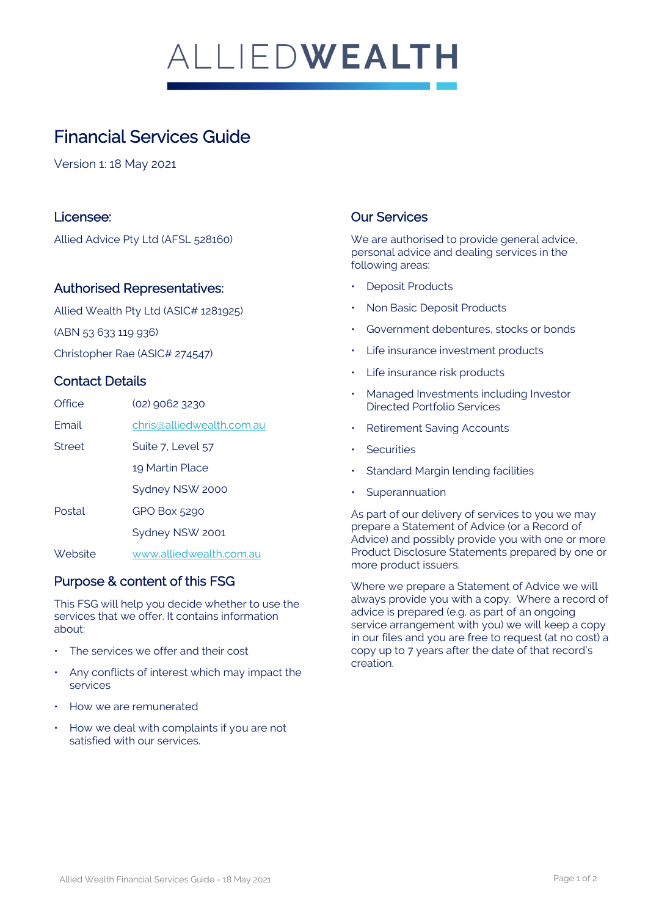# ALLIEDWEALTH

# Financial Services Guide

Version 1: 18 May 2021

#### Licensee:

Allied Advice Pty Ltd (AFSL 528160)

#### Authorised Representatives:

Allied Wealth Pty Ltd (ASIC# 1281925) (ABN 53 633 119 936) Christopher Rae (ASIC# 274547)

#### Contact Details

| Office  | (02) 9062 3230            |
|---------|---------------------------|
| Fmail   | chris@alliedwealth.com.au |
| Street  | Suite 7, Level 57         |
|         | 19 Martin Place           |
|         | Sydney NSW 2000           |
| Postal  | GPO Box 5290              |
|         | Sydney NSW 2001           |
| Website | www.alliedwealth.com.au   |

#### Purpose & content of this FSG

This FSG will help you decide whether to use the services that we offer. It contains information about:

- The services we offer and their cost
- Any conflicts of interest which may impact the services
- How we are remunerated
- How we deal with complaints if you are not satisfied with our services.

# Our Services

We are authorised to provide general advice, personal advice and dealing services in the following areas:

- **Deposit Products**
- Non Basic Deposit Products
- Government debentures, stocks or bonds
- Life insurance investment products
- Life insurance risk products
- Managed Investments including Investor Directed Portfolio Services
- Retirement Saving Accounts
- **Securities**
- **Standard Margin lending facilities**
- **Superannuation**

As part of our delivery of services to you we may prepare a Statement of Advice (or a Record of Advice) and possibly provide you with one or more Product Disclosure Statements prepared by one or more product issuers.

Where we prepare a Statement of Advice we will always provide you with a copy. Where a record of advice is prepared (e.g. as part of an ongoing service arrangement with you) we will keep a copy in our files and you are free to request (at no cost) a copy up to 7 years after the date of that record's creation.